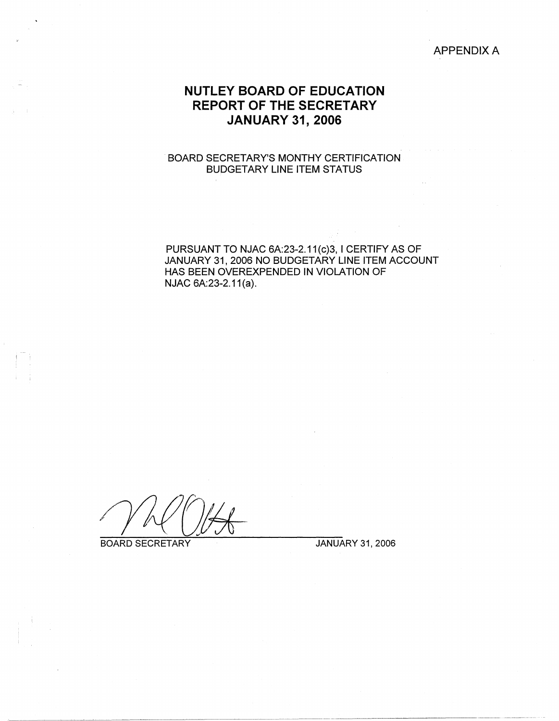### APPENDIX A

# **NUTLEY BOARD OF EDUCATION REPORT OF THE SECRETARY JANUARY 31, 2006**

### -BOARD SECRETARY'S MONTHY CERTIFICATION BUDGETARY LINE ITEM STATUS

PURSUANT TO NJAC 6A:23-2.11(c)3, I CERTIFY AS OF JANUARY 31, 2006 NO BUDGETARY LINE ITEM ACCOUNT HAS BEEN OVEREXPENDED IN VIOLATION OF NJAC 6A:23-2.11(a).

BOARD SECRETARY JANUARY 31, 2006

I I I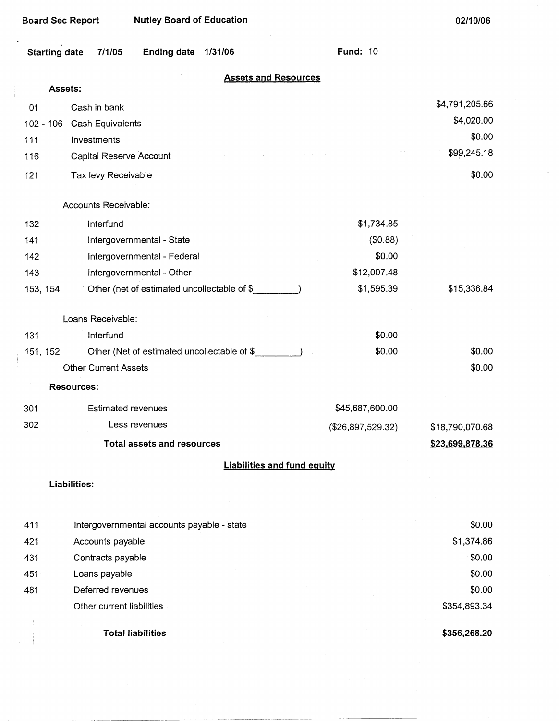$\ddot{\phantom{1}}$ 

 $\frac{1}{4}$ 

 $\bar{t}$ 

Ť

 $\mathbb{R}^2$ 

| Starting date 7/1/05 | Ending date 1/31/06 | <b>Fund: 10</b> |  |
|----------------------|---------------------|-----------------|--|

|  | <b>Assets and Resources</b> |  |
|--|-----------------------------|--|
|  |                             |  |

|          | Assets:                                     |                                    |                 |
|----------|---------------------------------------------|------------------------------------|-----------------|
| 01       | Cash in bank                                |                                    | \$4,791,205.66  |
|          | Cash Equivalents<br>$102 - 106$             |                                    | \$4,020.00      |
| 111      | Investments                                 |                                    | \$0.00          |
| 116      | Capital Reserve Account                     |                                    | \$99,245.18     |
| 121      | Tax levy Receivable                         |                                    | \$0.00          |
|          | Accounts Receivable:                        |                                    |                 |
| 132      | Interfund                                   | \$1,734.85                         |                 |
| 141      | Intergovernmental - State                   | (\$0.88)                           |                 |
| 142      | Intergovernmental - Federal                 | \$0.00                             |                 |
| 143      | Intergovernmental - Other                   | \$12,007.48                        |                 |
| 153, 154 | Other (net of estimated uncollectable of \$ | \$1,595.39                         | \$15,336.84     |
|          | Loans Receivable:                           |                                    |                 |
| 131      | Interfund                                   | \$0.00                             |                 |
| 151, 152 | Other (Net of estimated uncollectable of \$ | \$0.00                             | \$0.00          |
|          | <b>Other Current Assets</b>                 |                                    | \$0.00          |
|          | <b>Resources:</b>                           |                                    |                 |
| 301      | <b>Estimated revenues</b>                   | \$45,687,600.00                    |                 |
| 302      | Less revenues                               | (\$26,897,529.32)                  | \$18,790,070.68 |
|          | <b>Total assets and resources</b>           |                                    | \$23,699,878.36 |
|          |                                             | <b>Liabilities and fund equity</b> |                 |
|          | Liabilities:                                |                                    |                 |
|          |                                             |                                    |                 |
| 411      | Intergovernmental accounts payable - state  |                                    | \$0.00          |
| 421      | Accounts payable                            |                                    | \$1,374.86      |
| 431      | Contracts payable                           |                                    | \$0.00          |
| 451      | Loans payable                               |                                    | \$0.00          |
| 481      | Deferred revenues                           |                                    | \$0.00          |
|          | Other current liabilities                   |                                    | \$354,893.34    |
|          | <b>Total liabilities</b>                    |                                    | \$356,268.20    |

 $\sim$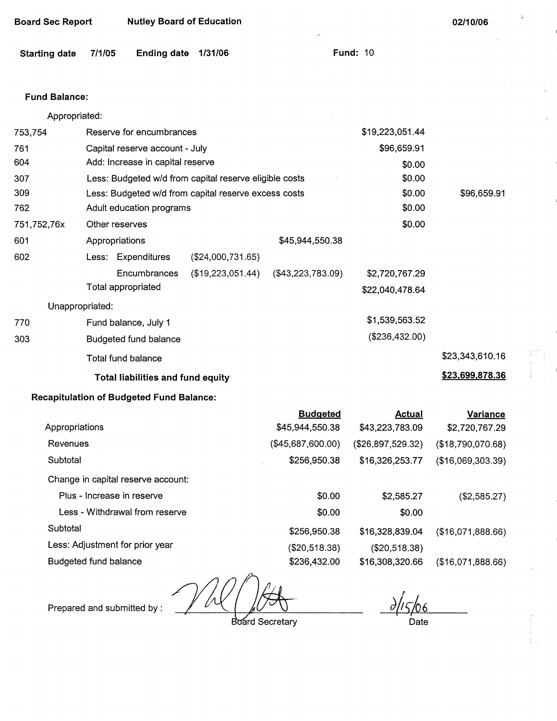| <b>Board Sec Report</b> | <b>Nutley Board of Education</b> |
|-------------------------|----------------------------------|
|-------------------------|----------------------------------|

| <b>Starting date</b> | 7/1/05 | Ending date 1/31/06 |  |  |
|----------------------|--------|---------------------|--|--|
|----------------------|--------|---------------------|--|--|

**Fund: 10** 

### **Fund Balance:**

| Appropriated: |
|---------------|
|---------------|

| 753,754         | Reserve for encumbrances                               | \$19,223,051.44     |                     |                 |                 |
|-----------------|--------------------------------------------------------|---------------------|---------------------|-----------------|-----------------|
| 761             | Capital reserve account - July                         |                     | \$96,659.91         |                 |                 |
| 604             | Add: Increase in capital reserve                       |                     |                     | \$0.00          |                 |
| 307             | Less: Budgeted w/d from capital reserve eligible costs |                     | \$0.00              |                 |                 |
| 309             | Less: Budgeted w/d from capital reserve excess costs   |                     |                     | \$0.00          | \$96,659.91     |
| 762             | Adult education programs                               |                     |                     | \$0.00          |                 |
| 751,752,76x     | Other reserves                                         | \$0.00              |                     |                 |                 |
| 601             | Appropriations                                         |                     | \$45,944,550.38     |                 |                 |
| 602             | Less: Expenditures                                     | $(\$24,000,731.65)$ |                     |                 |                 |
|                 | Encumbrances                                           | (\$19,223,051.44)   | $(\$43,223,783.09)$ | \$2,720,767.29  |                 |
|                 | Total appropriated                                     |                     |                     | \$22,040,478.64 |                 |
| Unappropriated: |                                                        |                     |                     |                 |                 |
| 770             | Fund balance, July 1                                   |                     |                     | \$1,539,563.52  |                 |
| 303             | Budgeted fund balance                                  |                     |                     | (\$236,432.00)  |                 |
|                 | Total fund balance                                     |                     |                     |                 | \$23,343,610.16 |
|                 | <b>Total liabilities and fund equity</b>               |                     |                     |                 | \$23,699,878.36 |

## **Recapitulation of Budgeted Fund Balance:**

|                                    | <b>Budgeted</b>   | Actual            | <b>Variance</b>   |
|------------------------------------|-------------------|-------------------|-------------------|
| Appropriations                     | \$45,944,550.38   | \$43,223,783.09   | \$2,720,767.29    |
| Revenues                           | (\$45,687,600.00) | (\$26,897,529.32) | (\$18,790,070.68) |
| Subtotal                           | \$256,950.38      | \$16,326,253.77   | (\$16,069,303.39) |
| Change in capital reserve account: |                   |                   |                   |
| Plus - Increase in reserve         | \$0.00            | \$2,585.27        | (\$2,585.27)      |
| Less - Withdrawal from reserve     | \$0.00            | \$0.00            |                   |
| Subtotal                           | \$256,950.38      | \$16,328,839.04   | (\$16,071,888.66) |
| Less: Adjustment for prior year    | (\$20,518.38)     | (\$20,518.38)     |                   |
| Budgeted fund balance              | \$236,432.00      | \$16,308,320.66   | (\$16,071,888.66) |

Prepared and submitted by :  $\sqrt{\Lambda}$ 

**Board Secretary** 

 $\frac{\partial}{\partial 5}$ Date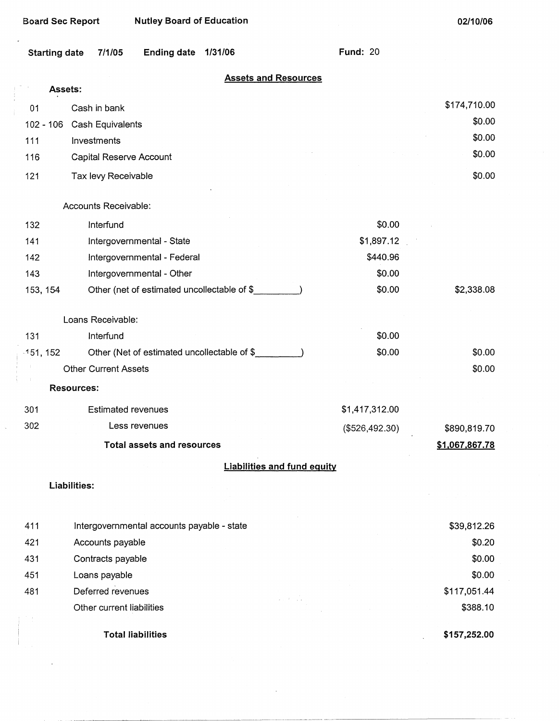|                      | <b>Board Sec Report</b>     | <b>Nutley Board of Education</b>             |         |                                    |                 | 02/10/06       |
|----------------------|-----------------------------|----------------------------------------------|---------|------------------------------------|-----------------|----------------|
| <b>Starting date</b> | 7/1/05                      | <b>Ending date</b>                           | 1/31/06 |                                    | <b>Fund: 20</b> |                |
|                      |                             |                                              |         | <b>Assets and Resources</b>        |                 |                |
|                      | Assets:                     |                                              |         |                                    |                 |                |
| 01                   | Cash in bank                |                                              |         |                                    |                 | \$174,710.00   |
| $102 - 106$          | Cash Equivalents            |                                              |         |                                    |                 | \$0.00         |
| 111                  | Investments                 |                                              |         |                                    |                 | \$0.00         |
| 116                  | Capital Reserve Account     |                                              |         |                                    |                 | \$0.00         |
| 121                  | Tax levy Receivable         |                                              |         |                                    |                 | \$0.00         |
|                      | Accounts Receivable:        |                                              |         |                                    |                 |                |
| 132                  | Interfund                   |                                              |         |                                    | \$0.00          |                |
| 141                  |                             | Intergovernmental - State                    |         |                                    | \$1,897.12      |                |
| 142                  |                             | Intergovernmental - Federal                  |         |                                    | \$440.96        |                |
| 143                  |                             | Intergovernmental - Other                    |         |                                    | \$0.00          |                |
| 153, 154             |                             | Other (net of estimated uncollectable of \$_ |         |                                    | \$0.00          | \$2,338.08     |
|                      | Loans Receivable:           |                                              |         |                                    |                 |                |
| 131                  | Interfund                   |                                              |         |                                    | \$0.00          |                |
| -151, 152            |                             | Other (Net of estimated uncollectable of \$  |         |                                    | \$0.00          | \$0.00         |
|                      | <b>Other Current Assets</b> |                                              |         |                                    |                 | \$0.00         |
|                      | <b>Resources:</b>           |                                              |         |                                    |                 |                |
| 301                  |                             | <b>Estimated revenues</b>                    |         |                                    | \$1,417,312.00  |                |
| 302                  |                             | Less revenues                                |         |                                    | (\$526,492.30)  | \$890,819.70   |
|                      |                             | <b>Total assets and resources</b>            |         |                                    |                 | \$1,067,867.78 |
|                      |                             |                                              |         | <b>Liabilities and fund equity</b> |                 |                |
|                      | Liabilities:                |                                              |         |                                    |                 |                |
| 411                  |                             | Intergovernmental accounts payable - state   |         |                                    |                 | \$39,812.26    |
| 421                  | Accounts payable            |                                              |         |                                    |                 | \$0.20         |
| 431                  | Contracts payable           |                                              |         |                                    |                 | \$0.00         |
| 451                  | Loans payable               |                                              |         |                                    |                 | \$0.00         |
| 481                  | Deferred revenues           |                                              |         | $2.14 - 1.2$                       |                 | \$117,051.44   |
|                      | Other current liabilities   |                                              |         |                                    |                 | \$388.10       |
|                      |                             | <b>Total liabilities</b>                     |         |                                    |                 | \$157,252.00   |

 $\hat{\mathbf{v}}$ 

 $\overline{\phantom{a}}$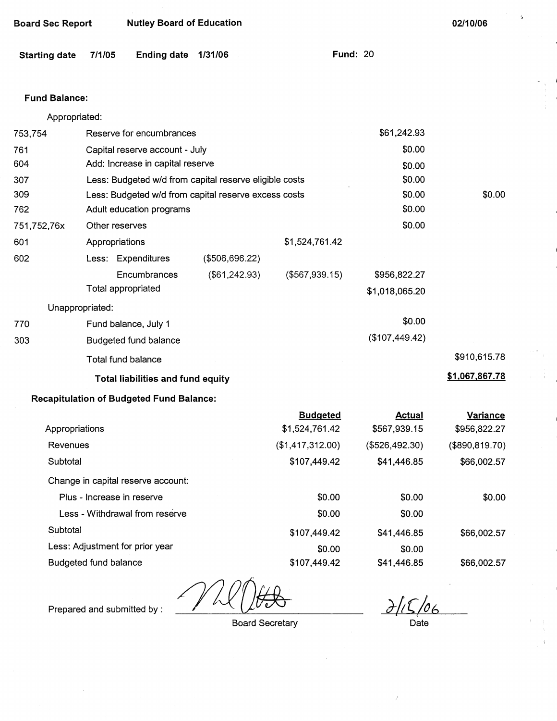|  | <b>Board Sec Report</b> | <b>Nutley Board of Education</b> |
|--|-------------------------|----------------------------------|
|--|-------------------------|----------------------------------|

| Starting date 7/1/05 |  | Ending date 1/31/06 |  | <b>Fund: 20</b> |
|----------------------|--|---------------------|--|-----------------|
|----------------------|--|---------------------|--|-----------------|

### **Fund Balance:**

Appropriated:

| 753,754         | Reserve for encumbrances                             | \$61,242.93                                            |                  |                |                 |  |
|-----------------|------------------------------------------------------|--------------------------------------------------------|------------------|----------------|-----------------|--|
| 761             | Capital reserve account - July                       | \$0.00                                                 |                  |                |                 |  |
| 604             | Add: Increase in capital reserve                     | \$0.00                                                 |                  |                |                 |  |
| 307             |                                                      | Less: Budgeted w/d from capital reserve eligible costs |                  |                |                 |  |
| 309             | Less: Budgeted w/d from capital reserve excess costs | \$0.00                                                 | \$0.00           |                |                 |  |
| 762             | Adult education programs                             |                                                        |                  | \$0.00         |                 |  |
| 751,752,76x     | Other reserves                                       |                                                        |                  | \$0.00         |                 |  |
| 601             | Appropriations                                       |                                                        | \$1,524,761.42   |                |                 |  |
| 602             | Less: Expenditures                                   | (\$506,696.22)                                         |                  |                |                 |  |
|                 | Encumbrances                                         | (\$61,242.93)                                          | (\$567,939.15)   | \$956,822.27   |                 |  |
|                 | Total appropriated                                   |                                                        |                  | \$1,018,065.20 |                 |  |
| Unappropriated: |                                                      |                                                        |                  |                |                 |  |
| 770             | Fund balance, July 1                                 |                                                        |                  | \$0.00         |                 |  |
| 303             | Budgeted fund balance                                |                                                        |                  | (\$107,449.42) |                 |  |
|                 | Total fund balance                                   |                                                        |                  |                | \$910,615.78    |  |
|                 | <b>Total liabilities and fund equity</b>             |                                                        |                  |                | \$1,067,867.78  |  |
|                 | <b>Recapitulation of Budgeted Fund Balance:</b>      |                                                        |                  |                |                 |  |
|                 |                                                      |                                                        | <b>Budgeted</b>  | <b>Actual</b>  | <b>Variance</b> |  |
| Appropriations  |                                                      |                                                        | \$1,524,761.42   | \$567,939.15   | \$956,822.27    |  |
| Revenues        |                                                      |                                                        | (\$1,417,312.00) | (\$526,492.30) | (\$890, 819.70) |  |

**Subtotal** Change in capital reserve account: Plus - Increase in reserve Less - Withdrawal from reserve **Subtotal** Less: Adjustment for prior year Budgeted fund balance \$107,449.42 \$0.00 \$0.00 \$107,449.42 \$0.00 \$107,449.42 \$41,446.85 \$0.00 \$0.00 \$41,446.85 \$0.00 \$41,446.85 \$66,002.57 \$0.00 \$66,002.57 \$66,002.57

Prepared and submitted by :

Board Secretary

 $15/06$ 

Date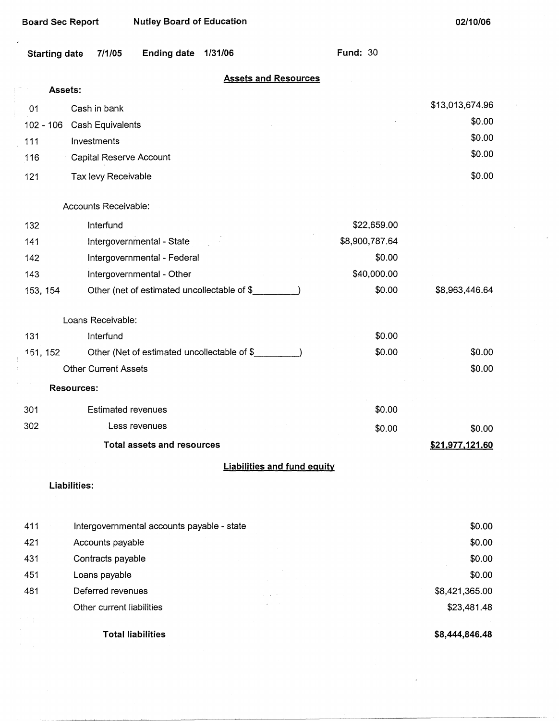$\hat{\mathcal{A}}$ 

**Fund:** 30

| Starting date 7/1/05 | Ending date 1/31/06 |  | Fund: |
|----------------------|---------------------|--|-------|
|                      |                     |  |       |

### **Assets and Resources**

| Assets: |                                |                 |
|---------|--------------------------------|-----------------|
| 01      | Cash in bank                   | \$13,013,674.96 |
|         | 102 - 106 Cash Equivalents     | \$0.00          |
| 111     | Investments                    | \$0.00          |
| 116     | <b>Capital Reserve Account</b> | \$0.00          |
| 121     | Tax levy Receivable            | \$0.00          |

#### Accounts Receivable:

 $\bar{z}$ 

| 132      | Interfund                                   | \$22,659.00    |                |
|----------|---------------------------------------------|----------------|----------------|
| 141      | Intergovernmental - State                   | \$8,900,787.64 |                |
| 142      | Intergovernmental - Federal                 | \$0.00         |                |
| 143      | Intergovernmental - Other                   | \$40,000.00    |                |
| 153, 154 | Other (net of estimated uncollectable of \$ | \$0.00         | \$8,963,446.64 |
|          | Loans Receivable:                           |                |                |
| 131      | Interfund                                   | \$0.00         |                |
| 151, 152 | Other (Net of estimated uncollectable of \$ | \$0.00         | \$0.00         |
|          | <b>Other Current Assets</b>                 |                | \$0.00         |
|          | <b>Resources:</b>                           |                |                |

|     | Total assets and resources |        | \$21,977,121.60 |
|-----|----------------------------|--------|-----------------|
| 302 | Less revenues              | \$0.00 | \$0.00          |
| 301 | Estimated revenues         | \$0.00 |                 |

### **Liabilities and fund equity**

### **Liabilities:**

| 411 | Intergovernmental accounts payable - state |            | \$0.00         |
|-----|--------------------------------------------|------------|----------------|
| 421 | Accounts payable                           |            | \$0.00         |
| 431 | Contracts payable                          |            | \$0.00         |
| 451 | Loans payable                              |            | \$0.00         |
| 481 | Deferred revenues                          | and a con- | \$8,421,365.00 |
|     | Other current liabilities                  |            | \$23,481.48    |
|     |                                            |            |                |
|     | <b>Total liabilities</b>                   |            | \$8,444,846.48 |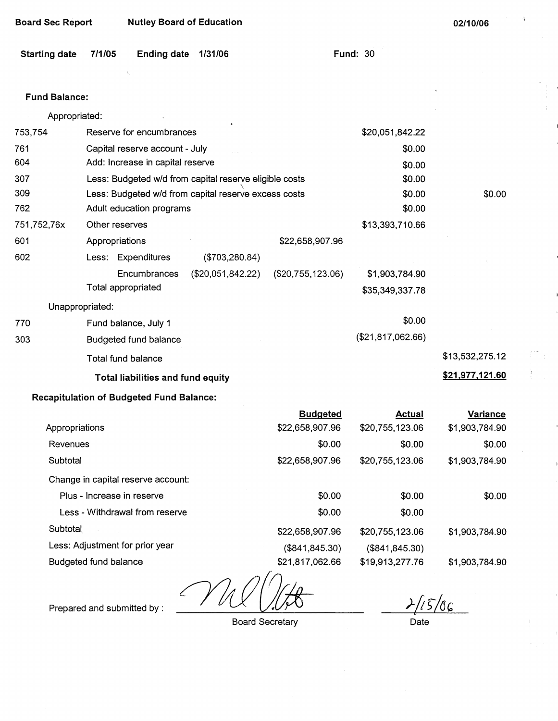$\mathfrak{g}$ 

| Starting date 7/1/05 | Ending date 1/31/06 | <b>Fund: 30</b> |  |
|----------------------|---------------------|-----------------|--|
|                      |                     |                 |  |

# Fund Balance:

| Appropriated: |                                                        |                                       |                  |
|---------------|--------------------------------------------------------|---------------------------------------|------------------|
| 753,754       | Reserve for encumbrances                               | \$20,051,842.22                       |                  |
| 761           | Capital reserve account - July                         |                                       | \$0.00           |
| 604           | Add: Increase in capital reserve                       |                                       | \$0.00           |
| 307           | Less: Budgeted w/d from capital reserve eligible costs |                                       | \$0.00           |
| 309           | Less: Budgeted w/d from capital reserve excess costs   |                                       | \$0.00<br>\$0.00 |
| 762           | Adult education programs                               |                                       | \$0.00           |
| 751,752,76x   | Other reserves                                         | \$13,393,710.66                       |                  |
| 601           | Appropriations                                         | \$22,658,907.96                       |                  |
| 602           | Less: Expenditures<br>(\$703,280.84)                   |                                       |                  |
|               | Encumbrances<br>(\$20,051,842.22)                      | $(\$20,755,123.06)$<br>\$1,903,784.90 |                  |
|               | Total appropriated                                     | \$35,349,337.78                       |                  |
|               | Unappropriated:                                        |                                       |                  |
| 770           | Fund balance, July 1                                   |                                       | \$0.00           |
| 303           | Budgeted fund balance                                  | (\$21,817,062.66)                     |                  |
|               | Total fund balance                                     |                                       | \$13,532,275.12  |
|               | Total liabilities and fund equity                      |                                       | \$21,977,121.60  |
|               |                                                        |                                       |                  |

# **Recapitulation of Budgeted Fund Balance:**

|                                    | <b>Budgeted</b> | Actual          | <b>Variance</b> |
|------------------------------------|-----------------|-----------------|-----------------|
| Appropriations                     | \$22,658,907.96 | \$20,755,123.06 | \$1,903,784.90  |
| Revenues                           | \$0.00          | \$0.00          | \$0.00          |
| Subtotal                           | \$22,658,907.96 | \$20,755,123.06 | \$1,903,784.90  |
| Change in capital reserve account: |                 |                 |                 |
| Plus - Increase in reserve         | \$0.00          | \$0.00          | \$0.00          |
| Less - Withdrawal from reserve     | \$0.00          | \$0.00          |                 |
| Subtotal                           | \$22,658,907.96 | \$20,755,123.06 | \$1,903,784.90  |
| Less: Adjustment for prior year    | (\$841, 845.30) | (\$841, 845.30) |                 |
| Budgeted fund balance              | \$21,817,062.66 | \$19,913,277.76 | \$1,903,784.90  |

Prepared and submitted by : **///** 

Board Secretary

 $2/15/06$ 

Date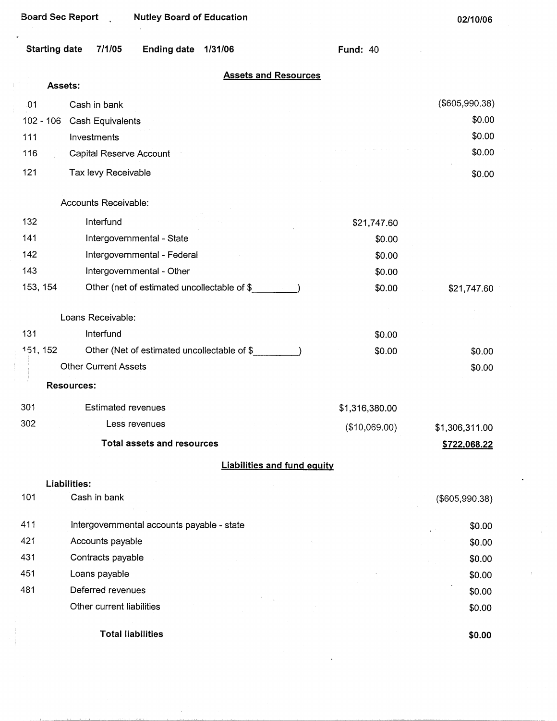$\bar{1}$ 

÷,

**02/10/06** 

| Starting date 7/1/05 | Ending date 1/31/06 | Fund: $40$ |
|----------------------|---------------------|------------|
|                      |                     |            |

### **Assets and Resources**

|     | Assets:     |                                             |                |                |
|-----|-------------|---------------------------------------------|----------------|----------------|
| 01  |             | Cash in bank                                |                | (\$605,990.38) |
|     | $102 - 106$ | Cash Equivalents                            |                | \$0.00         |
| 111 |             | Investments                                 |                | \$0.00         |
| 116 |             | Capital Reserve Account                     |                | \$0.00         |
| 121 |             | Tax levy Receivable                         |                | \$0.00         |
|     |             | Accounts Receivable:                        |                |                |
| 132 |             | Interfund                                   | \$21,747.60    |                |
| 141 |             | Intergovernmental - State                   | \$0.00         |                |
| 142 |             | Intergovernmental - Federal                 | \$0.00         |                |
| 143 |             | Intergovernmental - Other                   | \$0.00         |                |
|     | 153, 154    | Other (net of estimated uncollectable of \$ | \$0.00         | \$21,747.60    |
|     |             | Loans Receivable:                           |                |                |
| 131 |             | Interfund                                   | \$0.00         |                |
|     | 151, 152    | Other (Net of estimated uncollectable of \$ | \$0.00         | \$0.00         |
|     |             | <b>Other Current Assets</b>                 |                | \$0.00         |
|     |             | <b>Resources:</b>                           |                |                |
| 301 |             | <b>Estimated revenues</b>                   | \$1,316,380.00 |                |
| 302 |             | Less revenues                               | (\$10,069.00)  | \$1,306,311.00 |
|     |             | <b>Total assets and resources</b>           |                | \$722,068.22   |
|     |             | <b>Liabilities and fund equity</b>          |                |                |
|     |             | Liabilities:                                |                |                |
| 101 |             | Cash in bank                                |                | (\$605,990.38) |
| 411 |             | Intergovernmental accounts payable - state  |                | \$0.00         |
| 421 |             | Accounts payable                            |                | \$0.00         |
| 431 |             | Contracts payable                           |                | \$0.00         |
| 451 |             | Loans payable                               |                | \$0.00         |
| 481 |             | Deferred revenues                           |                | \$0.00         |
|     |             | Other current liabilities                   |                | \$0.00         |
|     |             | <b>Total liabilities</b>                    |                | \$0.00         |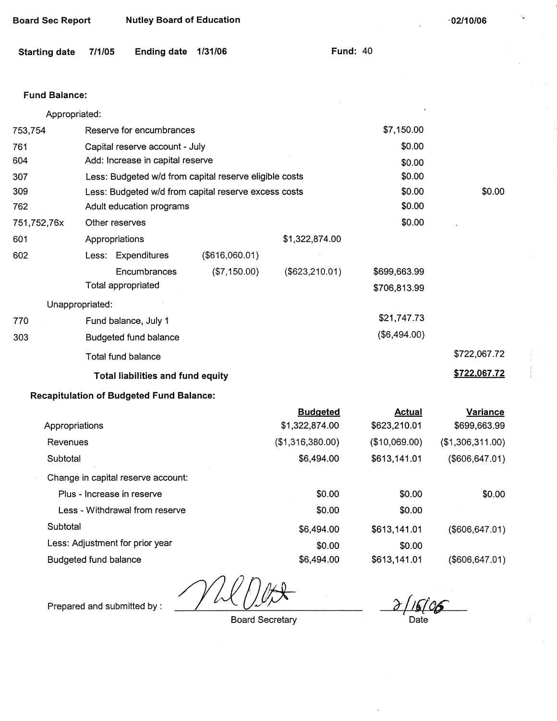| Starting date        | 771103          | Ending date 1/31/00                                    |                |                   | гини. 40      |                  |
|----------------------|-----------------|--------------------------------------------------------|----------------|-------------------|---------------|------------------|
|                      |                 |                                                        |                |                   |               |                  |
| <b>Fund Balance:</b> |                 |                                                        |                |                   |               |                  |
| Appropriated:        |                 |                                                        |                |                   |               |                  |
| 753,754              |                 | Reserve for encumbrances                               |                |                   | \$7,150.00    |                  |
| 761                  |                 | Capital reserve account - July                         |                |                   | \$0.00        |                  |
| 604                  |                 | Add: Increase in capital reserve                       |                |                   | \$0.00        |                  |
| 307                  |                 | Less: Budgeted w/d from capital reserve eligible costs |                |                   | \$0.00        |                  |
| 309                  |                 | Less: Budgeted w/d from capital reserve excess costs   |                |                   | \$0.00        | \$0.00           |
| 762                  |                 | Adult education programs                               |                |                   | \$0.00        |                  |
| 751,752,76x          |                 | Other reserves                                         |                |                   | \$0.00        |                  |
| 601                  |                 | Appropriations                                         |                | \$1,322,874.00    |               |                  |
| 602                  |                 | Less: Expenditures                                     | (\$616,060.01) |                   |               |                  |
|                      |                 | Encumbrances                                           | (\$7,150.00)   | $($ \$623,210.01) | \$699,663.99  |                  |
|                      |                 | Total appropriated                                     |                |                   | \$706,813.99  |                  |
|                      | Unappropriated: |                                                        |                |                   |               |                  |
| 770                  |                 | Fund balance, July 1                                   |                |                   | \$21,747.73   |                  |
| 303                  |                 | Budgeted fund balance                                  |                |                   | (\$6,494.00)  |                  |
|                      |                 | Total fund balance                                     |                |                   |               | \$722,067.72     |
|                      |                 | <b>Total liabilities and fund equity</b>               |                |                   |               | \$722,067.72     |
|                      |                 | <b>Recapitulation of Budgeted Fund Balance:</b>        |                |                   |               |                  |
|                      |                 |                                                        |                | <b>Budgeted</b>   | <b>Actual</b> | Variance         |
| Appropriations       |                 |                                                        |                | \$1,322,874.00    | \$623,210.01  | \$699,663.99     |
| Revenues             |                 |                                                        |                | (\$1,316,380.00)  | (\$10,069.00) | (\$1,306,311.00) |

Less - Withdrawal from reserve Less: Adjustment for prior year Budgeted fund balance \$0.00 \$6,494.00 \$0.00 \$6,494.00

Prepared and submitted by :

Change in capital reserve account: Plus - Increase in reserve

**Subtotal** 

Subtotal

 $\overline{\partial}$  . Date

\$613,141.01

\$613,141.01

\$613,141.01

\$0.00 \$0.00 (\$606,647.01)

(\$606,647.01)

(\$606,647.01)

\$0.00

\$0.00

Board Secretary

\$6,494.00

\$0.00

**·02/10/06** 

| Board Sec Report | <b>Nutley Board of Education</b> |
|------------------|----------------------------------|
|------------------|----------------------------------|

**Starting date 7/1/05** Ending **date 1/31/06** Fund: 40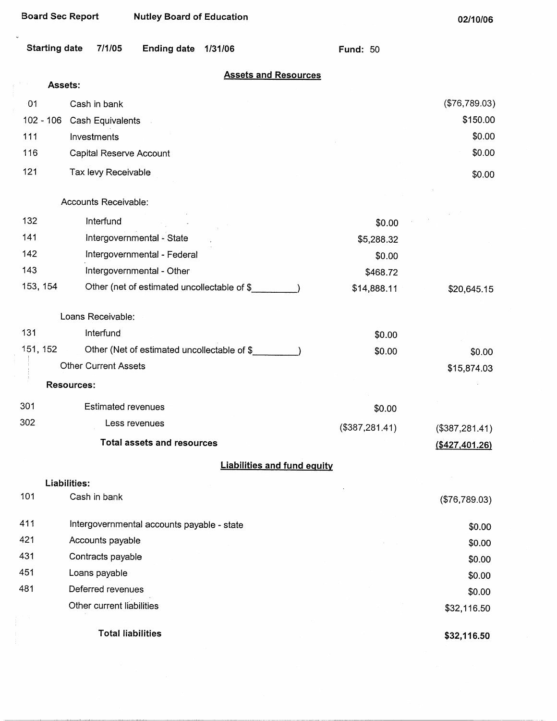| <b>Board Sec Report</b> |                             | <b>Nutley Board of Education</b>            |         |                                    |                 | 02/10/06          |
|-------------------------|-----------------------------|---------------------------------------------|---------|------------------------------------|-----------------|-------------------|
| <b>Starting date</b>    | 7/1/05                      | <b>Ending date</b>                          | 1/31/06 |                                    | <b>Fund: 50</b> |                   |
|                         | Assets:                     |                                             |         | <b>Assets and Resources</b>        |                 |                   |
| 01                      | Cash in bank                |                                             |         |                                    |                 | (\$76,789.03)     |
| $102 - 106$             | Cash Equivalents            |                                             |         |                                    |                 | \$150.00          |
| 111                     | Investments                 |                                             |         |                                    |                 | \$0.00            |
| 116                     | Capital Reserve Account     |                                             |         |                                    |                 | \$0.00            |
| 121                     | Tax levy Receivable         |                                             |         |                                    |                 | \$0.00            |
|                         | Accounts Receivable:        |                                             |         |                                    |                 |                   |
| 132                     | Interfund                   |                                             |         |                                    | \$0.00          |                   |
| 141                     |                             | Intergovernmental - State                   |         |                                    | \$5,288.32      |                   |
| 142                     |                             | Intergovernmental - Federal                 |         |                                    | \$0.00          |                   |
| 143                     |                             | Intergovernmental - Other                   |         |                                    | \$468.72        |                   |
| 153, 154                |                             | Other (net of estimated uncollectable of \$ |         |                                    | \$14,888.11     | \$20,645.15       |
|                         | Loans Receivable:           |                                             |         |                                    |                 |                   |
| 131                     | Interfund                   |                                             |         |                                    | \$0.00          |                   |
| 151, 152                |                             | Other (Net of estimated uncollectable of \$ |         |                                    | \$0.00          | \$0.00            |
|                         | <b>Other Current Assets</b> |                                             |         |                                    |                 | \$15,874.03       |
|                         | <b>Resources:</b>           |                                             |         |                                    |                 |                   |
| 301                     | <b>Estimated revenues</b>   |                                             |         |                                    | \$0.00          |                   |
| 302                     |                             | Less revenues                               |         |                                    | (\$387,281.41)  | (\$387,281.41)    |
|                         |                             | <b>Total assets and resources</b>           |         |                                    |                 | $($ \$427,401.26) |
|                         |                             |                                             |         | <b>Liabilities and fund equity</b> |                 |                   |
|                         | Liabilities:                |                                             |         |                                    |                 |                   |
| 101                     | Cash in bank                |                                             |         |                                    |                 | (\$76,789.03)     |
| 411                     |                             | Intergovernmental accounts payable - state  |         |                                    |                 | \$0.00            |
| 421                     | Accounts payable            |                                             |         |                                    |                 | \$0.00            |
| 431                     | Contracts payable           |                                             |         |                                    |                 | \$0.00            |
| 451                     | Loans payable               |                                             |         |                                    |                 | \$0.00            |
| 481                     | Deferred revenues           |                                             |         |                                    |                 | \$0.00            |
|                         | Other current liabilities   |                                             |         |                                    |                 | \$32,116.50       |
|                         |                             | <b>Total liabilities</b>                    |         |                                    |                 | \$32,116.50       |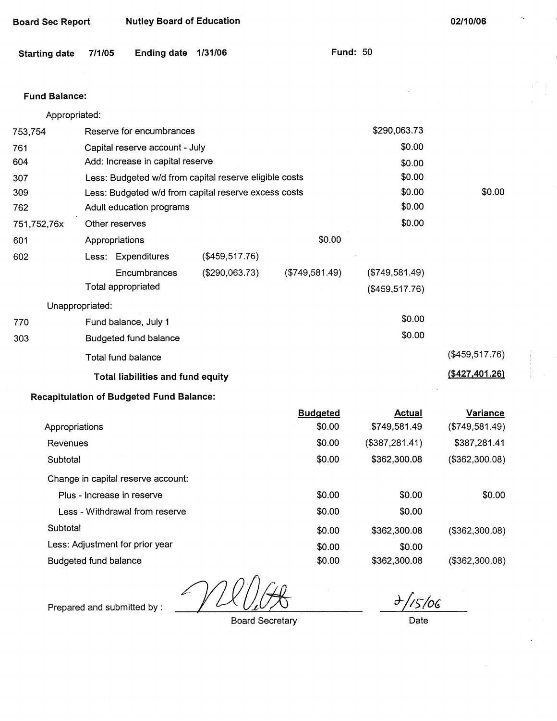| <b>Starting date</b> | 7/1/05                                          | Ending date | 1/31/06                                                | runa: <sub>JV</sub> |                 |                |
|----------------------|-------------------------------------------------|-------------|--------------------------------------------------------|---------------------|-----------------|----------------|
| <b>Fund Balance:</b> |                                                 |             |                                                        |                     |                 |                |
| Appropriated:        |                                                 |             |                                                        |                     |                 |                |
| 753,754              | Reserve for encumbrances                        |             |                                                        |                     | \$290,063.73    |                |
| 761                  | Capital reserve account - July                  |             |                                                        |                     | \$0.00          |                |
| 604                  | Add: Increase in capital reserve                |             |                                                        |                     | \$0.00          |                |
| 307                  |                                                 |             | Less: Budgeted w/d from capital reserve eligible costs |                     | \$0.00          |                |
| 309                  |                                                 |             | Less: Budgeted w/d from capital reserve excess costs   |                     | \$0.00          | \$0.00         |
| 762                  | Adult education programs                        |             |                                                        |                     | \$0.00          |                |
| 751,752,76x          | Other reserves                                  |             |                                                        |                     | \$0.00          |                |
| 601                  | Appropriations                                  |             |                                                        | \$0.00              |                 |                |
| 602                  | Less: Expenditures                              |             | (\$459,517.76)                                         |                     |                 |                |
|                      | Encumbrances                                    |             | (\$290,063.73)                                         | (\$749,581.49)      | (\$749,581.49)  |                |
|                      | Total appropriated                              |             |                                                        |                     | (\$459,517.76)  |                |
|                      | Unappropriated:                                 |             |                                                        |                     |                 |                |
| 770                  | Fund balance, July 1                            |             |                                                        |                     | \$0.00          |                |
| 303                  | <b>Budgeted fund balance</b>                    |             |                                                        |                     | \$0.00          |                |
|                      | Total fund balance                              |             |                                                        |                     |                 | (\$459,517.76) |
|                      | Total liabilities and fund equity               |             |                                                        |                     |                 | (\$427,401.26) |
|                      | <b>Recapitulation of Budgeted Fund Balance:</b> |             |                                                        |                     |                 |                |
|                      |                                                 |             |                                                        | <b>Budgeted</b>     | <b>Actual</b>   | Variance       |
| Appropriations       |                                                 |             |                                                        | \$0.00              | \$749,581.49    | (\$749,581.49) |
| Revenues             |                                                 |             |                                                        | \$0.00              | (\$387, 281.41) | \$387,281.41   |
| Subtotal             |                                                 |             |                                                        | \$0.00              | \$362,300.08    | (\$362,300.08) |
|                      | Change in capital reserve account:              |             |                                                        |                     |                 |                |
|                      | Plus - Increase in reserve                      |             |                                                        | \$0.00              | \$0.00          | \$0.00         |
|                      | Less - Withdrawal from reserve                  |             |                                                        | \$0.00              | \$0.00          |                |

Board Sec Report **Nutley Board of Education** 

**Starting date 7/1/05 Ending date 1/31/06 Fund:** 50

Budgeted fund balance

Less: Adjustment for prior year

**Subtotal** 

Prepared and submitted by:

Board Secretary

\$0.00 \$0.00 \$0.00

*J-/i:;-/or;* 

\$362,300.08

\$362,300.08

\$0.00

(\$362,300.08)

(\$362,300.08)

Date

**02/10/06**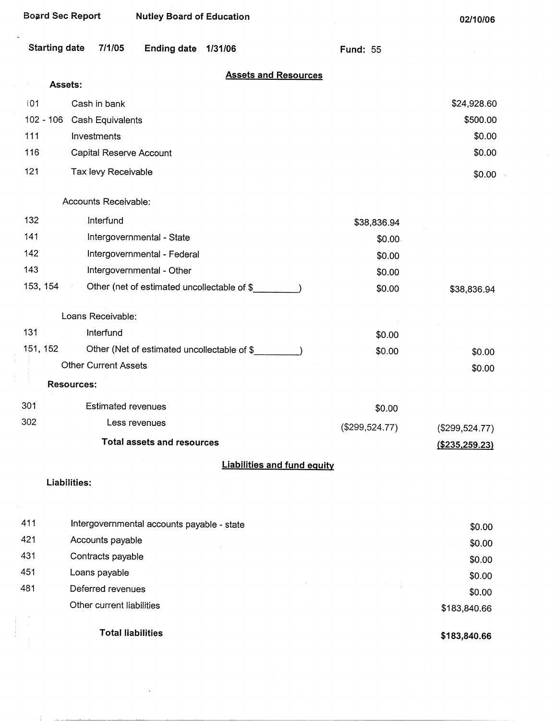| <b>Board Sec Report</b> | <b>Nutley Board of Education</b>            |                  | 02/10/06         |
|-------------------------|---------------------------------------------|------------------|------------------|
| <b>Starting date</b>    | 7/1/05<br><b>Ending date</b><br>1/31/06     | <b>Fund: 55</b>  |                  |
|                         | <b>Assets and Resources</b>                 |                  |                  |
|                         | Assets:                                     |                  |                  |
| 01                      | Cash in bank                                |                  | \$24,928.60      |
| $102 - 106$<br>111      | Cash Equivalents                            |                  | \$500.00         |
|                         | Investments                                 |                  | \$0.00           |
| 116                     | Capital Reserve Account                     |                  | \$0.00           |
| 121                     | Tax levy Receivable                         |                  | \$0.00           |
|                         | Accounts Receivable:                        |                  |                  |
| 132                     | Interfund                                   | \$38,836.94      |                  |
| 141                     | Intergovernmental - State                   | \$0.00           |                  |
| 142                     | Intergovernmental - Federal                 | \$0.00           |                  |
| 143                     | Intergovernmental - Other                   | \$0.00           |                  |
| 153, 154                | Other (net of estimated uncollectable of \$ | \$0.00           | \$38,836.94      |
|                         | Loans Receivable:                           |                  |                  |
| 131                     | Interfund                                   | \$0.00           |                  |
| 151, 152                | Other (Net of estimated uncollectable of \$ | \$0.00           | \$0.00           |
|                         | <b>Other Current Assets</b>                 |                  | \$0.00           |
|                         | <b>Resources:</b>                           |                  |                  |
| 301                     | <b>Estimated revenues</b>                   | \$0.00           |                  |
| 302                     | Less revenues                               | $(\$299,524.77)$ | $(\$299,524.77)$ |
|                         | <b>Total assets and resources</b>           |                  | ( \$235, 259.23) |
|                         | <b>Liabilities and fund equity</b>          |                  |                  |
|                         | Liabilities:                                |                  |                  |
|                         |                                             |                  |                  |
| 411                     | Intergovernmental accounts payable - state  |                  | \$0.00           |
| 421                     | Accounts payable                            |                  | \$0.00           |
| 431                     | Contracts payable                           |                  | \$0.00           |
| 451                     | Loans payable                               |                  | \$0.00           |

 $\Delta \sim 1$ 

481 Deferred revenues Other current liabilities

Total liabilities

 $\frac{1}{2}$ 

The contract and a state of the contract of

**\$183,840.66** 

\$183,840.66

 $\frac{1}{2}$ 

\$0.00